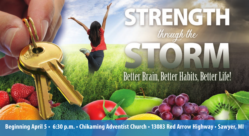# STRENGTH

## Better Brain, Better Habits, Better Life!

TORM

**Beginning April 5 • 6:30 p.m. • Chikaming Adventist Church • 13083 Red Arrow Highway • Sawyer, MI**